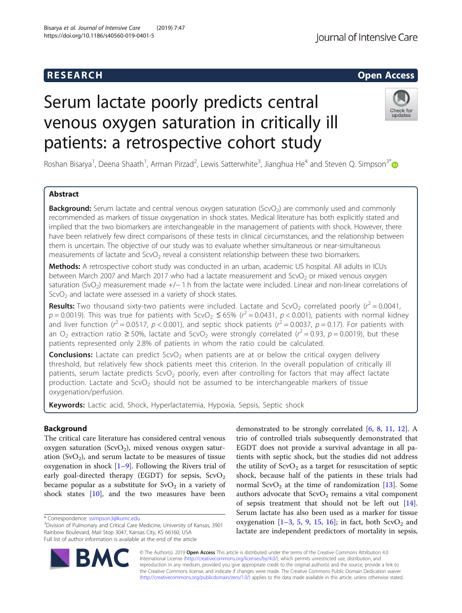# **RESEARCH CHILD CONTROL** CONTROL CONTROL CONTROL CONTROL CONTROL CONTROL CONTROL CONTROL CONTROL CONTROL CONTROL CONTROL CONTROL CONTROL CONTROL CONTROL CONTROL CONTROL CONTROL CONTROL CONTROL CONTROL CONTROL CONTROL CONTR

# Serum lactate poorly predicts central venous oxygen saturation in critically ill patients: a retrospective cohort study

Roshan Bisarya<sup>1</sup>, Deena Shaath<sup>1</sup>, Arman Pirzad<sup>2</sup>, Lewis Satterwhite<sup>3</sup>, Jianghua He<sup>4</sup> and Steven Q. Simpson<sup>3\*</sup>

# Abstract

**Background:** Serum lactate and central venous oxygen saturation ( $SCVO<sub>2</sub>$ ) are commonly used and commonly recommended as markers of tissue oxygenation in shock states. Medical literature has both explicitly stated and implied that the two biomarkers are interchangeable in the management of patients with shock. However, there have been relatively few direct comparisons of these tests in clinical circumstances, and the relationship between them is uncertain. The objective of our study was to evaluate whether simultaneous or near-simultaneous measurements of lactate and  $ScvO<sub>2</sub>$  reveal a consistent relationship between these two biomarkers.

Methods: A retrospective cohort study was conducted in an urban, academic US hospital. All adults in ICUs between March 2007 and March 2017 who had a lactate measurement and  $ScvO<sub>2</sub>$  or mixed venous oxygen saturation (SvO<sub>2</sub>) measurement made +/− 1 h from the lactate were included. Linear and non-linear correlations of  $ScvO<sub>2</sub>$  and lactate were assessed in a variety of shock states.

**Results:** Two thousand sixty-two patients were included. Lactate and ScvO<sub>2</sub> correlated poorly ( $r^2$  = 0.0041,  $p = 0.0019$ ). This was true for patients with ScvO<sub>2</sub>  $\leq$  65% ( $r^2$  = 0.0431,  $p$  < 0.001), patients with normal kidney and liver function ( $r^2$  = 0.0517,  $p$  < 0.001), and septic shock patients ( $r^2$  = 0.0037,  $p$  = 0.17). For patients with an O<sub>2</sub> extraction ratio ≥ 50%, lactate and ScvO<sub>2</sub> were strongly correlated ( $r^2$  = 0.93,  $p$  = 0.0019), but these patients represented only 2.8% of patients in whom the ratio could be calculated.

**Conclusions:** Lactate can predict ScvO<sub>2</sub> when patients are at or below the critical oxygen delivery threshold, but relatively few shock patients meet this criterion. In the overall population of critically ill patients, serum lactate predicts ScvO<sub>2</sub> poorly, even after controlling for factors that may affect lactate production. Lactate and  $ScvO<sub>2</sub>$  should not be assumed to be interchangeable markers of tissue oxygenation/perfusion.

Keywords: Lactic acid, Shock, Hyperlactatemia, Hypoxia, Sepsis, Septic shock

# Background

The critical care literature has considered central venous oxygen saturation (ScvO<sub>2</sub>), mixed venous oxygen saturation  $(SvO<sub>2</sub>)$ , and serum lactate to be measures of tissue oxygenation in shock  $[1-9]$  $[1-9]$  $[1-9]$  $[1-9]$ . Following the Rivers trial of early goal-directed therapy (EGDT) for sepsis,  $ScvO<sub>2</sub>$ became popular as a substitute for  $SvO<sub>2</sub>$  in a variety of shock states [[10\]](#page-7-0), and the two measures have been

\* Correspondence: [ssimpson3@kumc.edu](mailto:ssimpson3@kumc.edu) <sup>3</sup>

demonstrated to be strongly correlated [[6,](#page-7-0) [8,](#page-7-0) [11,](#page-7-0) [12](#page-7-0)]. A trio of controlled trials subsequently demonstrated that EGDT does not provide a survival advantage in all patients with septic shock, but the studies did not address the utility of  $ScvO<sub>2</sub>$  as a target for resuscitation of septic shock, because half of the patients in these trials had normal  $ScvO<sub>2</sub>$  at the time of randomization [[13\]](#page-7-0). Some authors advocate that  $ScvO<sub>2</sub>$  remains a vital component of sepsis treatment that should not be left out [\[14](#page-7-0)]. Serum lactate has also been used as a marker for tissue oxygenation  $[1-3, 5, 9, 15, 16]$  $[1-3, 5, 9, 15, 16]$  $[1-3, 5, 9, 15, 16]$  $[1-3, 5, 9, 15, 16]$  $[1-3, 5, 9, 15, 16]$  $[1-3, 5, 9, 15, 16]$  $[1-3, 5, 9, 15, 16]$  $[1-3, 5, 9, 15, 16]$  $[1-3, 5, 9, 15, 16]$  $[1-3, 5, 9, 15, 16]$  $[1-3, 5, 9, 15, 16]$  $[1-3, 5, 9, 15, 16]$ ; in fact, both ScvO<sub>2</sub> and lactate are independent predictors of mortality in sepsis,

© The Author(s). 2019 Open Access This article is distributed under the terms of the Creative Commons Attribution 4.0 International License [\(http://creativecommons.org/licenses/by/4.0/](http://creativecommons.org/licenses/by/4.0/)), which permits unrestricted use, distribution, and reproduction in any medium, provided you give appropriate credit to the original author(s) and the source, provide a link to the Creative Commons license, and indicate if changes were made. The Creative Commons Public Domain Dedication waiver [\(http://creativecommons.org/publicdomain/zero/1.0/](http://creativecommons.org/publicdomain/zero/1.0/)) applies to the data made available in this article, unless otherwise stated.

BA



<sup>&</sup>lt;sup>3</sup> Division of Pulmonary and Critical Care Medicine, University of Kansas, 3901 Rainbow Boulevard, Mail Stop 3047, Kansas City, KS 66160, USA Full list of author information is available at the end of the article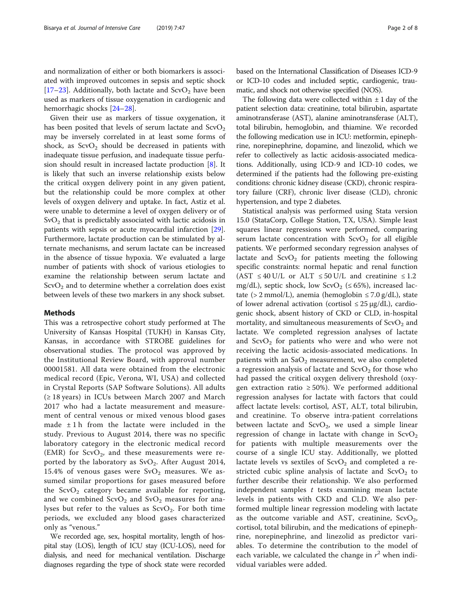Given their use as markers of tissue oxygenation, it has been posited that levels of serum lactate and  $ScvO<sub>2</sub>$ may be inversely correlated in at least some forms of shock, as  $ScvO<sub>2</sub>$  should be decreased in patients with inadequate tissue perfusion, and inadequate tissue perfusion should result in increased lactate production [\[8](#page-7-0)]. It is likely that such an inverse relationship exists below the critical oxygen delivery point in any given patient, but the relationship could be more complex at other levels of oxygen delivery and uptake. In fact, Astiz et al. were unable to determine a level of oxygen delivery or of  $SvO<sub>2</sub>$  that is predictably associated with lactic acidosis in patients with sepsis or acute myocardial infarction [\[29](#page-7-0)]. Furthermore, lactate production can be stimulated by alternate mechanisms, and serum lactate can be increased in the absence of tissue hypoxia. We evaluated a large number of patients with shock of various etiologies to examine the relationship between serum lactate and  $S\text{cvO}_2$  and to determine whether a correlation does exist between levels of these two markers in any shock subset.

#### Methods

This was a retrospective cohort study performed at The University of Kansas Hospital (TUKH) in Kansas City, Kansas, in accordance with STROBE guidelines for observational studies. The protocol was approved by the Institutional Review Board, with approval number 00001581. All data were obtained from the electronic medical record (Epic, Verona, WI, USA) and collected in Crystal Reports (SAP Software Solutions). All adults (≥ 18 years) in ICUs between March 2007 and March 2017 who had a lactate measurement and measurement of central venous or mixed venous blood gases made  $\pm 1$  h from the lactate were included in the study. Previous to August 2014, there was no specific laboratory category in the electronic medical record (EMR) for  $ScvO<sub>2</sub>$ , and these measurements were reported by the laboratory as  $SvO<sub>2</sub>$ . After August 2014, 15.4% of venous gases were  $\text{SvO}_2$  measures. We assumed similar proportions for gases measured before the  $ScvO<sub>2</sub>$  category became available for reporting, and we combined  $ScvO<sub>2</sub>$  and  $SvO<sub>2</sub>$  measures for analyses but refer to the values as  $ScvO<sub>2</sub>$ . For both time periods, we excluded any blood gases characterized only as "venous."

We recorded age, sex, hospital mortality, length of hospital stay (LOS), length of ICU stay (ICU-LOS), need for dialysis, and need for mechanical ventilation. Discharge diagnoses regarding the type of shock state were recorded

based on the International Classification of Diseases ICD-9 or ICD-10 codes and included septic, cardiogenic, traumatic, and shock not otherwise specified (NOS).

The following data were collected within  $\pm$  1 day of the patient selection data: creatinine, total bilirubin, aspartate aminotransferase (AST), alanine aminotransferase (ALT), total bilirubin, hemoglobin, and thiamine. We recorded the following medication use in ICU: metformin, epinephrine, norepinephrine, dopamine, and linezolid, which we refer to collectively as lactic acidosis-associated medications. Additionally, using ICD-9 and ICD-10 codes, we determined if the patients had the following pre-existing conditions: chronic kidney disease (CKD), chronic respiratory failure (CRF), chronic liver disease (CLD), chronic hypertension, and type 2 diabetes.

Statistical analysis was performed using Stata version 15.0 (StataCorp, College Station, TX, USA). Simple least squares linear regressions were performed, comparing serum lactate concentration with  $ScvO<sub>2</sub>$  for all eligible patients. We performed secondary regression analyses of lactate and  $ScvO<sub>2</sub>$  for patients meeting the following specific constraints: normal hepatic and renal function (AST  $\leq 40$  U/L or ALT  $\leq 50$  U/L and creatinine  $\leq 1.2$ mg/dL), septic shock, low ScvO<sub>2</sub> ( $\leq$  65%), increased lactate (> 2 mmol/L), anemia (hemoglobin  $\leq$  7.0 g/dL), state of lower adrenal activation (cortisol  $\leq 25 \mu g/dL$ ), cardiogenic shock, absent history of CKD or CLD, in-hospital mortality, and simultaneous measurements of  $ScvO<sub>2</sub>$  and lactate. We completed regression analyses of lactate and  $ScvO<sub>2</sub>$  for patients who were and who were not receiving the lactic acidosis-associated medications. In patients with an  $SaO<sub>2</sub>$  measurement, we also completed a regression analysis of lactate and  $ScvO<sub>2</sub>$  for those who had passed the critical oxygen delivery threshold (oxygen extraction ratio  $\geq 50\%$ ). We performed additional regression analyses for lactate with factors that could affect lactate levels: cortisol, AST, ALT, total bilirubin, and creatinine. To observe intra-patient correlations between lactate and  $ScvO<sub>2</sub>$ , we used a simple linear regression of change in lactate with change in  $ScvO<sub>2</sub>$ for patients with multiple measurements over the course of a single ICU stay. Additionally, we plotted lactate levels vs sextiles of  $ScvO<sub>2</sub>$  and completed a restricted cubic spline analysis of lactate and  $ScvO<sub>2</sub>$  to further describe their relationship. We also performed independent samples  $t$  tests examining mean lactate levels in patients with CKD and CLD. We also performed multiple linear regression modeling with lactate as the outcome variable and AST, creatinine,  $ScvO<sub>2</sub>$ , cortisol, total bilirubin, and the medications of epinephrine, norepinephrine, and linezolid as predictor variables. To determine the contribution to the model of each variable, we calculated the change in  $r^2$  when individual variables were added.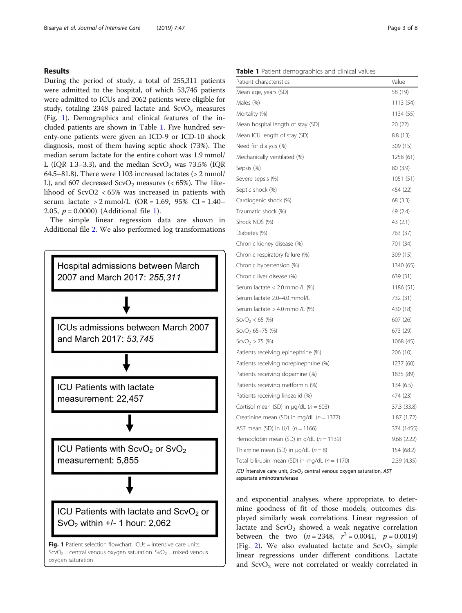### Results

During the period of study, a total of 255,311 patients were admitted to the hospital, of which 53,745 patients were admitted to ICUs and 2062 patients were eligible for study, totaling 2348 paired lactate and  $ScvO<sub>2</sub>$  measures (Fig. 1). Demographics and clinical features of the included patients are shown in Table 1. Five hundred seventy-one patients were given an ICD-9 or ICD-10 shock diagnosis, most of them having septic shock (73%). The median serum lactate for the entire cohort was 1.9 mmol/ L (IQR 1.3–3.3), and the median  $ScvO<sub>2</sub>$  was 73.5% (IQR 64.5–81.8). There were 1103 increased lactates (> 2 mmol/ L), and 607 decreased  $ScvO<sub>2</sub>$  measures (< 65%). The likelihood of ScvO2 < 65% was increased in patients with serum lactate > 2 mmol/L (OR = 1.69, 95% CI = 1.40– 2.05,  $p = 0.0000$ ) (Additional file [1](#page-6-0)).

The simple linear regression data are shown in Additional file [2](#page-6-0). We also performed log transformations



#### Table 1 Patient demographics and clinical values

| Patient characteristics                         | Value       |
|-------------------------------------------------|-------------|
| Mean age, years (SD)                            | 58 (19)     |
| Males (%)                                       | 1113 (54)   |
| Mortality (%)                                   | 1134 (55)   |
| Mean hospital length of stay (SD)               | 20 (22)     |
| Mean ICU length of stay (SD)                    | 8.8(13)     |
| Need for dialysis (%)                           | 309 (15)    |
| Mechanically ventilated (%)                     | 1258 (61)   |
| Sepsis (%)                                      | 80 (3.9)    |
| Severe sepsis (%)                               | 1051(51)    |
| Septic shock (%)                                | 454 (22)    |
| Cardiogenic shock (%)                           | 68 (3.3)    |
| Traumatic shock (%)                             | 49 (2.4)    |
| Shock NOS (%)                                   | 43 (2.1)    |
| Diabetes (%)                                    | 763 (37)    |
| Chronic kidney disease (%)                      | 701 (34)    |
| Chronic respiratory failure (%)                 | 309 (15)    |
| Chronic hypertension (%)                        | 1340 (65)   |
| Chronic liver disease (%)                       | 639 (31)    |
| Serum lactate < 2.0 mmol/L (%)                  | 1186 (51)   |
| Serum lactate 2.0-4.0 mmol/L                    | 732 (31)    |
| Serum lactate > 4.0 mmol/L (%)                  | 430 (18)    |
| $ScvO2 < 65$ (%)                                | 607 (26)    |
| $ScvO2 65-75 (%)$                               | 673 (29)    |
| $ScvO2 > 75$ (%)                                | 1068 (45)   |
| Patients receiving epinephrine (%)              | 206 (10)    |
| Patients receiving norepinephrine (%)           | 1237 (60)   |
| Patients receiving dopamine (%)                 | 1835 (89)   |
| Patients receiving metformin (%)                | 134(6.5)    |
| Patients receiving linezolid (%)                | 474 (23)    |
| Cortisol mean (SD) in $\mu$ g/dL ( $n = 603$ )  | 37.3 (33.8) |
| Creatinine mean (SD) in mg/dL $(n = 1377)$      | 1.87(1.72)  |
| AST mean (SD) in U/L $(n = 1166)$               | 374 (1455)  |
| Hemoglobin mean (SD) in $q/dL$ ( $n = 1139$ )   | 9.68(2.22)  |
| Thiamine mean (SD) in $\mu q/dL$ ( $n = 8$ )    | 154 (68.2)  |
| Total bilirubin mean (SD) in mg/dL $(n = 1170)$ | 2.39 (4.35) |

ICU <sup>i</sup>ntensive care unit, ScvO<sub>2</sub> central venous oxygen saturation, AST aspartate aminotransferase

and exponential analyses, where appropriate, to determine goodness of fit of those models; outcomes displayed similarly weak correlations. Linear regression of lactate and  $ScvO<sub>2</sub>$  showed a weak negative correlation between the two  $(n = 2348, r^2 = 0.0041, p = 0.0019)$ (Fig. [2\)](#page-3-0). We also evaluated lactate and  $ScvO<sub>2</sub>$  simple linear regressions under different conditions. Lactate and  $ScvO<sub>2</sub>$  were not correlated or weakly correlated in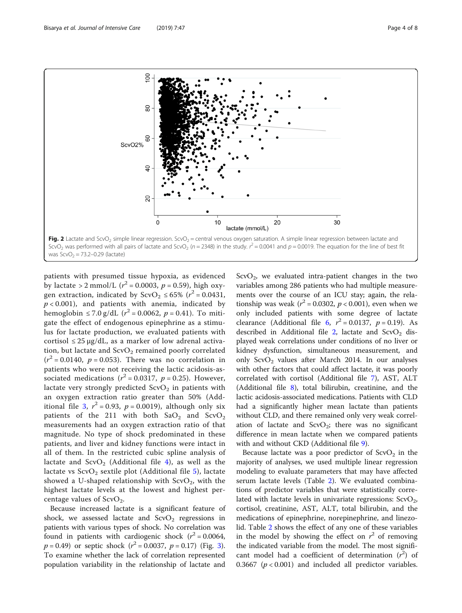<span id="page-3-0"></span>

was  $ScvO<sub>2</sub> = 73.2 - 0.29$  (lactate)

patients with presumed tissue hypoxia, as evidenced by lactate > 2 mmol/L ( $r^2$  = 0.0003,  $p$  = 0.59), high oxygen extraction, indicated by  $ScvO_2 \le 65\%$   $(r^2 = 0.0431,$  $p < 0.001$ ), and patients with anemia, indicated by hemoglobin ≤ 7.0 g/dL ( $r^2$  = 0.0062,  $p$  = 0.41). To mitigate the effect of endogenous epinephrine as a stimulus for lactate production, we evaluated patients with cortisol  $\leq 25 \mu g/dL$ , as a marker of low adrenal activation, but lactate and  $ScvO<sub>2</sub>$  remained poorly correlated  $(r^2 = 0.0140, p = 0.053)$ . There was no correlation in patients who were not receiving the lactic acidosis-associated medications ( $r^2$  = 0.0317,  $p$  = 0.25). However, lactate very strongly predicted  $ScvO<sub>2</sub>$  in patients with an oxygen extraction ratio greater than 50% (Add-itional file [3](#page-6-0),  $r^2 = 0.93$ ,  $p = 0.0019$ ), although only six patients of the 211 with both  $SaO<sub>2</sub>$  and  $ScvO<sub>2</sub>$ measurements had an oxygen extraction ratio of that magnitude. No type of shock predominated in these patients, and liver and kidney functions were intact in all of them. In the restricted cubic spline analysis of lactate and  $ScvO<sub>2</sub>$  (Additional file [4\)](#page-6-0), as well as the lactate vs  $ScvO<sub>2</sub>$  sextile plot (Additional file [5\)](#page-6-0), lactate showed a U-shaped relationship with  $ScvO<sub>2</sub>$ , with the highest lactate levels at the lowest and highest percentage values of  $ScvO<sub>2</sub>$ .

Because increased lactate is a significant feature of shock, we assessed lactate and  $ScvO<sub>2</sub>$  regressions in patients with various types of shock. No correlation was found in patients with cardiogenic shock  $(r^2 = 0.0064,$  $p = 0.49$ ) or septic shock  $(r^2 = 0.0037, p = 0.17)$  $(r^2 = 0.0037, p = 0.17)$  $(r^2 = 0.0037, p = 0.17)$  (Fig. 3). To examine whether the lack of correlation represented population variability in the relationship of lactate and  $ScvO<sub>2</sub>$ , we evaluated intra-patient changes in the two variables among 286 patients who had multiple measurements over the course of an ICU stay; again, the relationship was weak ( $r^2 = 0.0302$ ,  $p < 0.001$ ), even when we only included patients with some degree of lactate clearance (Additional file [6,](#page-6-0)  $r^2 = 0.0137$ ,  $p = 0.19$ ). As described in Additional file  $2$ , lactate and ScvO<sub>2</sub> displayed weak correlations under conditions of no liver or kidney dysfunction, simultaneous measurement, and only  $ScvO<sub>2</sub>$  values after March 2014. In our analyses with other factors that could affect lactate, it was poorly correlated with cortisol (Additional file [7](#page-6-0)), AST, ALT (Additional file [8\)](#page-6-0), total bilirubin, creatinine, and the lactic acidosis-associated medications. Patients with CLD had a significantly higher mean lactate than patients without CLD, and there remained only very weak correlation of lactate and  $ScvO<sub>2</sub>$ ; there was no significant difference in mean lactate when we compared patients with and without CKD (Additional file [9\)](#page-6-0).

Because lactate was a poor predictor of  $ScvO<sub>2</sub>$  in the majority of analyses, we used multiple linear regression modeling to evaluate parameters that may have affected serum lactate levels (Table [2](#page-4-0)). We evaluated combinations of predictor variables that were statistically correlated with lactate levels in univariate regressions:  $ScvO<sub>2</sub>$ , cortisol, creatinine, AST, ALT, total bilirubin, and the medications of epinephrine, norepinephrine, and linezolid. Table [2](#page-4-0) shows the effect of any one of these variables in the model by showing the effect on  $r^2$  of removing the indicated variable from the model. The most significant model had a coefficient of determination  $(r^2)$  of 0.3667 ( $p < 0.001$ ) and included all predictor variables.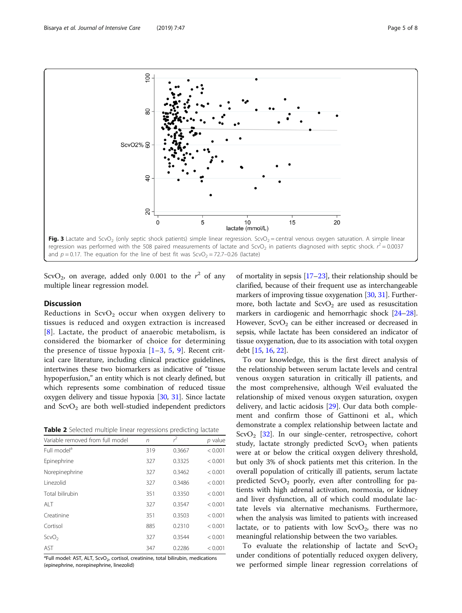<span id="page-4-0"></span>

regression was performed with the 508 paired measurements of lactate and ScvO<sub>2</sub> in patients diagnosed with septic shock.  $r^2$  = 0.0037 and  $p = 0.17$ . The equation for the line of best fit was ScvO<sub>2</sub> = 72.7–0.26 (lactate)

ScvO<sub>2</sub>, on average, added only 0.001 to the  $r^2$  of any multiple linear regression model.

# Discussion

Reductions in  $ScvO<sub>2</sub>$  occur when oxygen delivery to tissues is reduced and oxygen extraction is increased [[8](#page-7-0)]. Lactate, the product of anaerobic metabolism, is considered the biomarker of choice for determining the presence of tissue hypoxia  $[1-3, 5, 9]$  $[1-3, 5, 9]$  $[1-3, 5, 9]$  $[1-3, 5, 9]$  $[1-3, 5, 9]$  $[1-3, 5, 9]$  $[1-3, 5, 9]$  $[1-3, 5, 9]$  $[1-3, 5, 9]$ . Recent critical care literature, including clinical practice guidelines, intertwines these two biomarkers as indicative of "tissue hypoperfusion," an entity which is not clearly defined, but which represents some combination of reduced tissue oxygen delivery and tissue hypoxia [[30](#page-7-0), [31\]](#page-7-0). Since lactate and  $ScvO<sub>2</sub>$  are both well-studied independent predictors

Table 2 Selected multiple linear regressions predicting lactate

| Variable removed from full model | n   | $\tilde{\epsilon}$ | p value |
|----------------------------------|-----|--------------------|---------|
| Full model <sup>a</sup>          | 319 | 0.3667             | < 0.001 |
| Epinephrine                      | 327 | 0.3325             | < 0.001 |
| Norepinephrine                   | 327 | 0.3462             | < 0.001 |
| Linezolid                        | 327 | 0.3486             | < 0.001 |
| Total bilirubin                  | 351 | 0.3350             | < 0.001 |
| AI T                             | 327 | 0.3547             | < 0.001 |
| Creatinine                       | 351 | 0.3503             | < 0.001 |
| Cortisol                         | 885 | 0.2310             | < 0.001 |
| ScvO <sub>2</sub>                | 327 | 0.3544             | < 0.001 |
| AST                              | 347 | 0.2286             | < 0.001 |

<sup>a</sup>Full model: AST, ALT, ScvO<sub>2</sub>, cortisol, creatinine, total bilirubin, medications (epinephrine, norepinephrine, linezolid)

of mortality in sepsis [[17](#page-7-0)–[23\]](#page-7-0), their relationship should be clarified, because of their frequent use as interchangeable markers of improving tissue oxygenation [\[30,](#page-7-0) [31](#page-7-0)]. Furthermore, both lactate and  $ScvO<sub>2</sub>$  are used as resuscitation markers in cardiogenic and hemorrhagic shock [\[24](#page-7-0)–[28](#page-7-0)]. However,  $ScvO<sub>2</sub>$  can be either increased or decreased in sepsis, while lactate has been considered an indicator of tissue oxygenation, due to its association with total oxygen debt [\[15,](#page-7-0) [16,](#page-7-0) [22](#page-7-0)].

To our knowledge, this is the first direct analysis of the relationship between serum lactate levels and central venous oxygen saturation in critically ill patients, and the most comprehensive, although Weil evaluated the relationship of mixed venous oxygen saturation, oxygen delivery, and lactic acidosis [[29\]](#page-7-0). Our data both complement and confirm those of Gattinoni et al., which demonstrate a complex relationship between lactate and  $ScvO<sub>2</sub>$  [\[32](#page-7-0)]. In our single-center, retrospective, cohort study, lactate strongly predicted  $ScvO<sub>2</sub>$  when patients were at or below the critical oxygen delivery threshold, but only 3% of shock patients met this criterion. In the overall population of critically ill patients, serum lactate predicted  $ScvO<sub>2</sub>$  poorly, even after controlling for patients with high adrenal activation, normoxia, or kidney and liver dysfunction, all of which could modulate lactate levels via alternative mechanisms. Furthermore, when the analysis was limited to patients with increased lactate, or to patients with low  $ScvO<sub>2</sub>$ , there was no meaningful relationship between the two variables.

To evaluate the relationship of lactate and  $ScvO<sub>2</sub>$ under conditions of potentially reduced oxygen delivery, we performed simple linear regression correlations of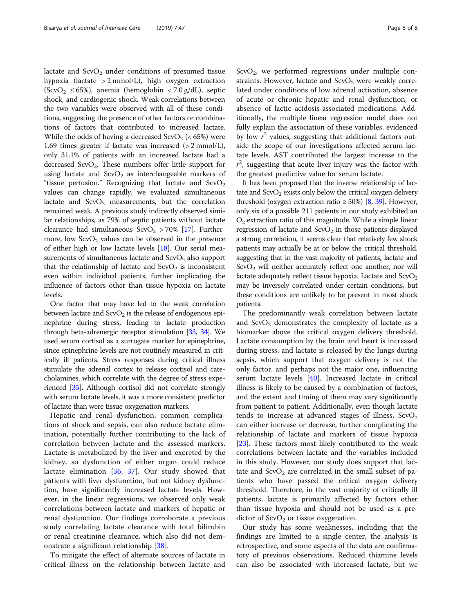lactate and  $ScvO<sub>2</sub>$  under conditions of presumed tissue hypoxia (lactate > 2 mmol/L), high oxygen extraction  $(ScvO<sub>2</sub> \le 65%)$ , anemia (hemoglobin < 7.0 g/dL), septic shock, and cardiogenic shock. Weak correlations between the two variables were observed with all of these conditions, suggesting the presence of other factors or combinations of factors that contributed to increased lactate. While the odds of having a decreased  $ScvO<sub>2</sub>$  (<65%) were 1.69 times greater if lactate was increased (> 2 mmol/L), only 31.1% of patients with an increased lactate had a decreased  $ScvO<sub>2</sub>$ . These numbers offer little support for using lactate and  $ScvO<sub>2</sub>$  as interchangeable markers of "tissue perfusion." Recognizing that lactate and  $ScvO<sub>2</sub>$ values can change rapidly, we evaluated simultaneous lactate and  $ScvO<sub>2</sub>$  measurements, but the correlation remained weak. A previous study indirectly observed similar relationships, as 79% of septic patients without lactate clearance had simultaneous  $ScvO<sub>2</sub> > 70%$  [\[17\]](#page-7-0). Furthermore, low  $ScvO<sub>2</sub>$  values can be observed in the presence of either high or low lactate levels [\[18\]](#page-7-0). Our serial measurements of simultaneous lactate and  $ScvO<sub>2</sub>$  also support that the relationship of lactate and  $ScvO<sub>2</sub>$  is inconsistent even within individual patients, further implicating the influence of factors other than tissue hypoxia on lactate levels.

One factor that may have led to the weak correlation between lactate and  $ScvO<sub>2</sub>$  is the release of endogenous epinephrine during stress, leading to lactate production through beta-adrenergic receptor stimulation [\[33,](#page-7-0) [34\]](#page-7-0). We used serum cortisol as a surrogate marker for epinephrine, since epinephrine levels are not routinely measured in critically ill patients. Stress responses during critical illness stimulate the adrenal cortex to release cortisol and catecholamines, which correlate with the degree of stress experienced [\[35](#page-7-0)]. Although cortisol did not correlate strongly with serum lactate levels, it was a more consistent predictor of lactate than were tissue oxygenation markers.

Hepatic and renal dysfunction, common complications of shock and sepsis, can also reduce lactate elimination, potentially further contributing to the lack of correlation between lactate and the assessed markers. Lactate is metabolized by the liver and excreted by the kidney, so dysfunction of either organ could reduce lactate elimination [\[36](#page-7-0), [37](#page-7-0)]. Our study showed that patients with liver dysfunction, but not kidney dysfunction, have significantly increased lactate levels. However, in the linear regressions, we observed only weak correlations between lactate and markers of hepatic or renal dysfunction. Our findings corroborate a previous study correlating lactate clearance with total bilirubin or renal creatinine clearance, which also did not demonstrate a significant relationship [\[38](#page-7-0)].

To mitigate the effect of alternate sources of lactate in critical illness on the relationship between lactate and  $ScvO<sub>2</sub>$ , we performed regressions under multiple constraints. However, lactate and  $ScvO<sub>2</sub>$  were weakly correlated under conditions of low adrenal activation, absence of acute or chronic hepatic and renal dysfunction, or absence of lactic acidosis-associated medications. Additionally, the multiple linear regression model does not fully explain the association of these variables, evidenced by low  $r^2$  values, suggesting that additional factors outside the scope of our investigations affected serum lactate levels. AST contributed the largest increase to the  $r^2$ , suggesting that acute liver injury was the factor with the greatest predictive value for serum lactate.

It has been proposed that the inverse relationship of lactate and  $ScvO<sub>2</sub>$  exists only below the critical oxygen delivery threshold (oxygen extraction ratio  $\geq 50\%$ ) [\[8,](#page-7-0) [39](#page-7-0)]. However, only six of a possible 211 patients in our study exhibited an  $O<sub>2</sub>$  extraction ratio of this magnitude. While a simple linear regression of lactate and  $ScvO<sub>2</sub>$  in those patients displayed a strong correlation, it seems clear that relatively few shock patients may actually be at or below the critical threshold, suggesting that in the vast majority of patients, lactate and  $ScvO<sub>2</sub>$  will neither accurately reflect one another, nor will lactate adequately reflect tissue hypoxia. Lactate and  $ScvO<sub>2</sub>$ may be inversely correlated under certain conditions, but these conditions are unlikely to be present in most shock patients.

The predominantly weak correlation between lactate and  $ScvO<sub>2</sub>$  demonstrates the complexity of lactate as a biomarker above the critical oxygen delivery threshold. Lactate consumption by the brain and heart is increased during stress, and lactate is released by the lungs during sepsis, which support that oxygen delivery is not the only factor, and perhaps not the major one, influencing serum lactate levels [\[40](#page-7-0)]. Increased lactate in critical illness is likely to be caused by a combination of factors, and the extent and timing of them may vary significantly from patient to patient. Additionally, even though lactate tends to increase at advanced stages of illness,  $ScvO<sub>2</sub>$ can either increase or decrease, further complicating the relationship of lactate and markers of tissue hypoxia [[23\]](#page-7-0). These factors most likely contributed to the weak correlations between lactate and the variables included in this study. However, our study does support that lactate and  $ScvO<sub>2</sub>$  are correlated in the small subset of patients who have passed the critical oxygen delivery threshold. Therefore, in the vast majority of critically ill patients, lactate is primarily affected by factors other than tissue hypoxia and should not be used as a predictor of  $ScvO<sub>2</sub>$  or tissue oxygenation.

Our study has some weaknesses, including that the findings are limited to a single center, the analysis is retrospective, and some aspects of the data are confirmatory of previous observations. Reduced thiamine levels can also be associated with increased lactate, but we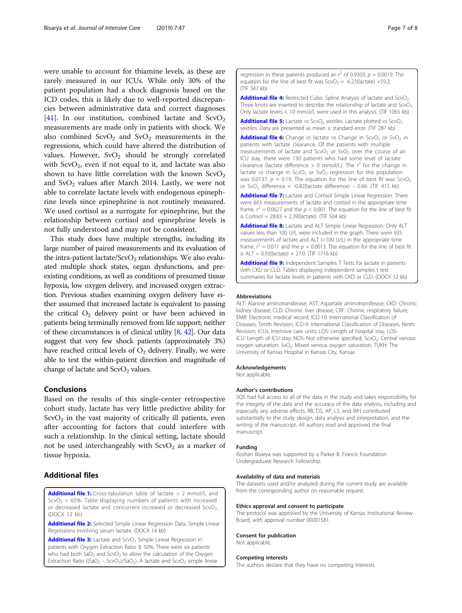<span id="page-6-0"></span>were unable to account for thiamine levels, as these are rarely measured in our ICUs. While only 30% of the patient population had a shock diagnosis based on the ICD codes, this is likely due to well-reported discrepancies between administrative data and correct diagnoses [[41\]](#page-7-0). In our institution, combined lactate and  $ScvO<sub>2</sub>$ measurements are made only in patients with shock. We also combined  $ScvO<sub>2</sub>$  and  $SvO<sub>2</sub>$  measurements in the regressions, which could have altered the distribution of values. However,  $SvO<sub>2</sub>$  should be strongly correlated with  $ScvO<sub>2</sub>$ , even if not equal to it, and lactate was also shown to have little correlation with the known  $ScvO<sub>2</sub>$ and  $\text{SvO}_2$  values after March 2014. Lastly, we were not able to correlate lactate levels with endogenous epinephrine levels since epinephrine is not routinely measured. We used cortisol as a surrogate for epinephrine, but the relationship between cortisol and epinephrine levels is not fully understood and may not be consistent.

This study does have multiple strengths, including its large number of paired measurements and its evaluation of the intra-patient lactate/ScvO<sub>2</sub> relationships. We also evaluated multiple shock states, organ dysfunctions, and preexisting conditions, as well as conditions of presumed tissue hypoxia, low oxygen delivery, and increased oxygen extraction. Previous studies examining oxygen delivery have either assumed that increased lactate is equivalent to passing the critical  $O_2$  delivery point or have been achieved in patients being terminally removed from life support; neither of these circumstances is of clinical utility  $[8, 42]$  $[8, 42]$  $[8, 42]$  $[8, 42]$ . Our data suggest that very few shock patients (approximately 3%) have reached critical levels of  $O<sub>2</sub>$  delivery. Finally, we were able to test the within-patient direction and magnitude of change of lactate and  $ScvO<sub>2</sub>$  values.

#### Conclusions

Based on the results of this single-center retrospective cohort study, lactate has very little predictive ability for  $ScvO<sub>2</sub>$  in the vast majority of critically ill patients, even after accounting for factors that could interfere with such a relationship. In the clinical setting, lactate should not be used interchangeably with  $ScvO<sub>2</sub>$  as a marker of tissue hypoxia.

## Additional files

[Additional file 1:](https://doi.org/10.1186/s40560-019-0401-5) Cross-tabulation table of lactate > 2 mmol/L and  $ScvO<sub>2</sub> < 65%$ . Table displaying numbers of patients with increased or decreased lactate and concurrent increased or decreased ScvO<sub>2.</sub> (DOCX 12 kb)

[Additional file 2:](https://doi.org/10.1186/s40560-019-0401-5) Selected Simple Linear Regression Data. Simple Linear Regressions involving serum lactate. (DOCX 14 kb)

[Additional file 3:](https://doi.org/10.1186/s40560-019-0401-5) Lactate and ScvO<sub>2</sub> Simple Linear Regression in patients with Oxygen Extraction Ratio ≥ 50%. There were six patients who had both  $SaO<sub>2</sub>$  and  $ScvO<sub>2</sub>$  to allow the calculation of the Oxygen Extraction Ratio ((SaO<sub>2</sub> – ScvO<sub>2</sub>)/SaO<sub>2</sub>). A lactate and ScvO<sub>2</sub> simple linear regression in these patients produced an  $r^2$  of 0.9303,  $p = 0.0019$ . The equation for the line of best fit was  $ScvO<sub>2</sub> = -6.23(lactate) +59.2$ . (TIF 347 kb)

[Additional file 4:](https://doi.org/10.1186/s40560-019-0401-5) Restricted Cubic Spline Analysis of lactate and ScvO<sub>2</sub> Three knots are inserted to describe the relationship of lactate and ScvO<sub>2</sub>. Only lactate levels < 10 mmol/L were used in this analysis. (TIF 1065 kb)

**[Additional file 5:](https://doi.org/10.1186/s40560-019-0401-5)** Lactate vs ScvO<sub>2</sub> sextiles. Lactate plotted vs ScvO<sub>2</sub> sextiles. Data are presented as mean ± standard error. (TIF 287 kb)

**[Additional file 6:](https://doi.org/10.1186/s40560-019-0401-5)** Change in lactate vs Change in ScvO<sub>2</sub> or SvO<sub>2</sub> in patients with lactate clearance. Of the patients with multiple measurements of lactate and  $ScvO<sub>2</sub>$  or  $SvO<sub>2</sub>$  over the course of an ICU stay, there were 130 patients who had some level of lactate clearance (lactate difference  $> 0$  mmol/L). The  $r^2$  for the change in lactate vs change in  $ScvO<sub>2</sub>$  or  $SvO<sub>2</sub>$  regression for this population was 0.0137,  $p = 0.19$ . The equation for the line of best fit was ScvO<sub>2</sub> or SvO<sub>2</sub> difference = -0.82(lactate difference) – 0.66. (TIF 415 kb)

[Additional file 7:](https://doi.org/10.1186/s40560-019-0401-5) Lactate and Cortisol Simple Linear Regression. There were 603 measurements of lactate and cortisol in the appropriate time frame.  $r^2 = 0.0627$  and the  $p < 0.001$ . The equation for the line of best fit is Cortisol = 28.83 + 2.39(lactate). (TIF 504 kb)

[Additional file 8:](https://doi.org/10.1186/s40560-019-0401-5) Lactate and ALT Simple Linear Regression. Only ALT values less than 100 U/L were included in the graph. There were 935 measurements of lactate and ALT (<100 U/L) in the appropriate time frame.  $r^2 = 0.011$  and the  $p = 0.0013$ . The equation for the line of best fit is  $ALT = 0.93$ (lactate) + 27.0. (TIF 1716 kb)

[Additional file 9:](https://doi.org/10.1186/s40560-019-0401-5) Independent Samples T Tests for lactate in patients with CKD or CLD. Tables displaying independent samples t test summaries for lactate levels in patients with CKD or CLD. (DOCX 12 kb)

#### Abbreviations

ALT: Alanine aminotransferase; AST: Aspartate aminotransferase; CKD: Chronic kidney disease; CLD: Chronic liver disease; CRF: Chronic respiratory failure; EMR: Electronic medical record; ICD-10: International Classification of Diseases, Tenth Revision; ICD-9: International Classification of Diseases, Ninth Revision; ICUs: Intensive care units; LOS: Length of hospital stay; LOS-ICU: Length of ICU stay; NOS: Not otherwise specified; ScvO<sub>2</sub>: Central venous oxygen saturation; SvO<sub>2</sub>: Mixed venous oxygen saturation; TUKH: The University of Kansas Hospital in Kansas City, Kansas

#### Acknowledgements

Not applicable.

#### Author's contributions

SQS had full access to all of the data in the study and takes responsibility for the integrity of the data and the accuracy of the data analysis, including and especially any adverse effects. RB, DS, AP, LS, and WH contributed substantially to the study design, data analysis and interpretation, and the writing of the manuscript. All authors read and approved the final manuscript.

#### Funding

Roshan Bisarya was supported by a Parker B. Francis Foundation Undergraduate Research Fellowship.

#### Availability of data and materials

The datasets used and/or analyzed during the current study are available from the corresponding author on reasonable request.

#### Ethics approval and consent to participate

The protocol was approved by the University of Kansas Institutional Review Board, with approval number 00001581.

#### Consent for publication

Not applicable.

#### Competing interests

The authors declare that they have no competing interests.